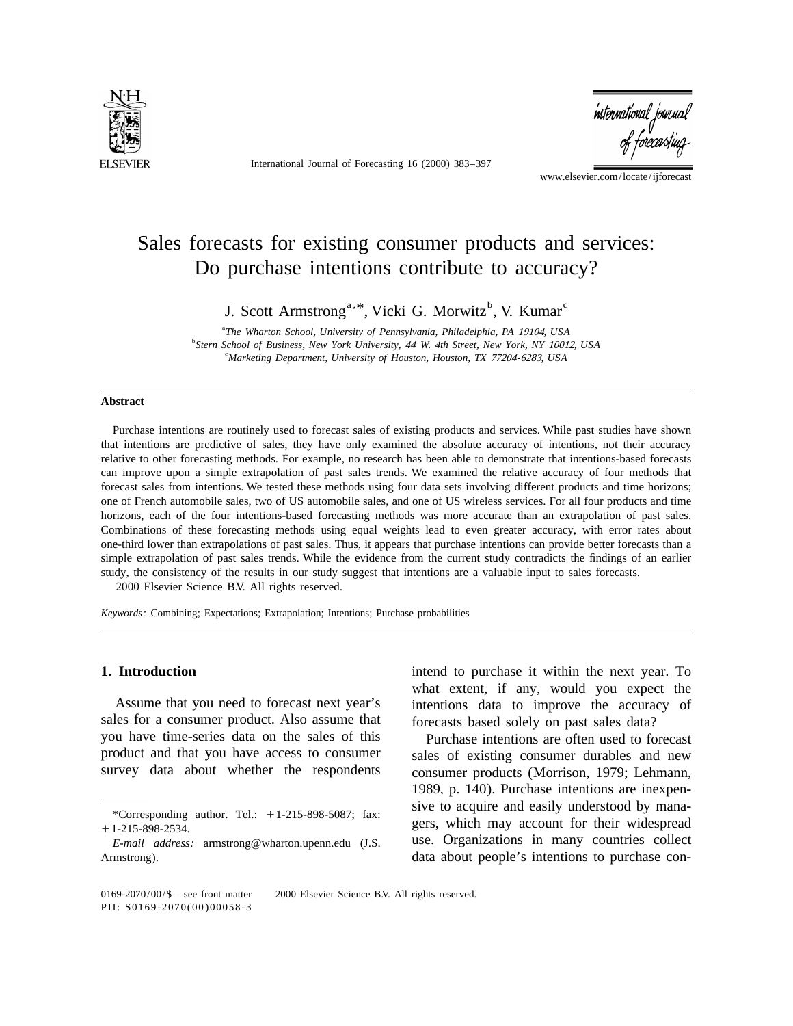

International Journal of Forecasting 16 (2000) 383–397

'mternational journal'<br>of forecasting

www.elsevier.com/locate/ijforecast

# Sales forecasts for existing consumer products and services: Do purchase intentions contribute to accuracy?

J. Scott Armstrong<sup>a, \*</sup>, Vicki G. Morwitz<sup>b</sup>, V. Kumar<sup>c</sup>

a *The Wharton School*, *University of Pennsylvania*, *Philadelphia*, *PA* 19104, *USA* b *Stern School of Business*, *New York University*, <sup>44</sup> *W*. <sup>4</sup>*th Street*, *New York*, *NY* 10012, *USA* c *Marketing Department*, *University of Houston*, *Houston*, *TX* <sup>77204</sup>-6283, *USA*

### **Abstract**

Purchase intentions are routinely used to forecast sales of existing products and services. While past studies have shown that intentions are predictive of sales, they have only examined the absolute accuracy of intentions, not their accuracy relative to other forecasting methods. For example, no research has been able to demonstrate that intentions-based forecasts can improve upon a simple extrapolation of past sales trends. We examined the relative accuracy of four methods that forecast sales from intentions. We tested these methods using four data sets involving different products and time horizons; one of French automobile sales, two of US automobile sales, and one of US wireless services. For all four products and time horizons, each of the four intentions-based forecasting methods was more accurate than an extrapolation of past sales. Combinations of these forecasting methods using equal weights lead to even greater accuracy, with error rates about one-third lower than extrapolations of past sales. Thus, it appears that purchase intentions can provide better forecasts than a simple extrapolation of past sales trends. While the evidence from the current study contradicts the findings of an earlier study, the consistency of the results in our study suggest that intentions are a valuable input to sales forecasts. 2000 Elsevier Science B.V. All rights reserved.

*Keywords*: Combining; Expectations; Extrapolation; Intentions; Purchase probabilities

sales for a consumer product. Also assume that forecasts based solely on past sales data? you have time-series data on the sales of this Purchase intentions are often used to forecast product and that you have access to consumer sales of existing consumer durables and new

**1. Introduction** intend to purchase it within the next year. To what extent, if any, would you expect the Assume that you need to forecast next year's intentions data to improve the accuracy of

survey data about whether the respondents consumer products (Morrison, 1979; Lehmann, 1989, p. 140). Purchase intentions are inexpen-\*Corresponding author. Tel.: +1-215-898-5087; fax: sive to acquire and easily understood by mana-<br>+1-215-898-2534. which may account for their widespread *E-mail address:* armstrong@wharton.upenn.edu (J.S. use. Organizations in many countries collect Armstrong). data about people's intentions to purchase con-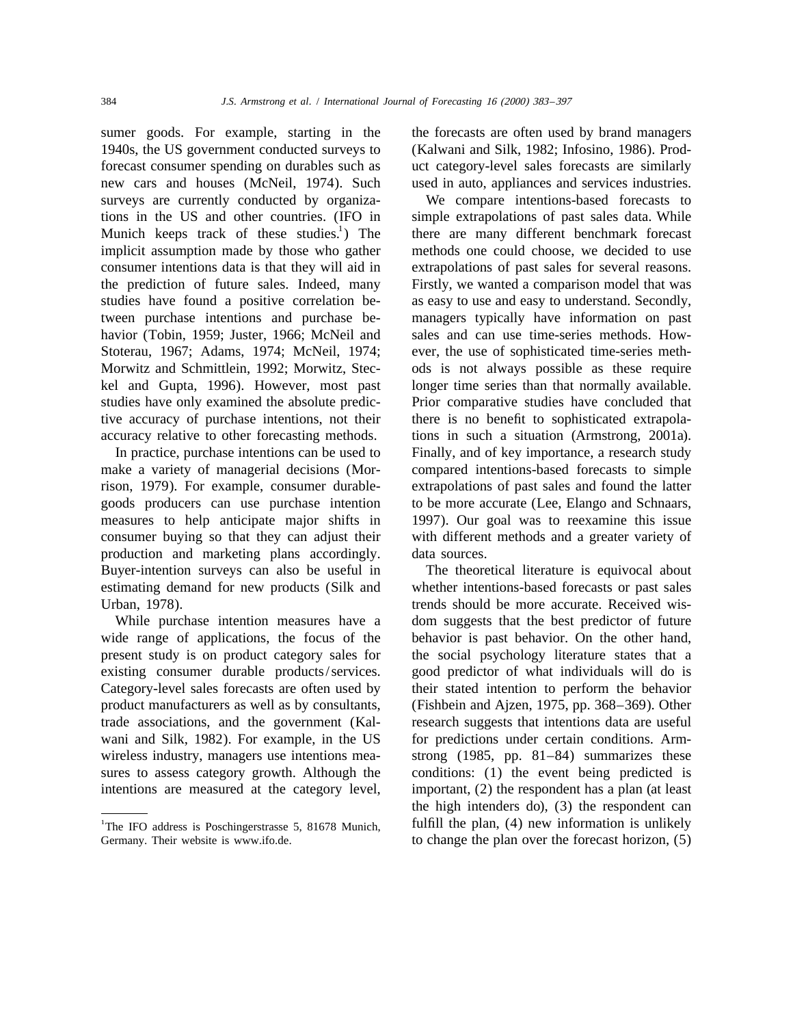sumer goods. For example, starting in the the forecasts are often used by brand managers 1940s, the US government conducted surveys to (Kalwani and Silk, 1982; Infosino, 1986). Prodforecast consumer spending on durables such as uct category-level sales forecasts are similarly new cars and houses (McNeil, 1974). Such used in auto, appliances and services industries. surveys are currently conducted by organiza- We compare intentions-based forecasts to tions in the US and other countries. (IFO in simple extrapolations of past sales data. While 1 Munich keeps track of these studies.<sup>1</sup>) The there are many different benchmark forecast implicit assumption made by those who gather methods one could choose, we decided to use consumer intentions data is that they will aid in extrapolations of past sales for several reasons. the prediction of future sales. Indeed, many Firstly, we wanted a comparison model that was studies have found a positive correlation be- as easy to use and easy to understand. Secondly, tween purchase intentions and purchase be- managers typically have information on past havior (Tobin, 1959; Juster, 1966; McNeil and sales and can use time-series methods. How-Stoterau, 1967; Adams, 1974; McNeil, 1974; ever, the use of sophisticated time-series meth-Morwitz and Schmittlein, 1992; Morwitz, Stec- ods is not always possible as these require kel and Gupta, 1996). However, most past longer time series than that normally available. studies have only examined the absolute predic- Prior comparative studies have concluded that tive accuracy of purchase intentions, not their there is no benefit to sophisticated extrapolaaccuracy relative to other forecasting methods. tions in such a situation (Armstrong, 2001a).

make a variety of managerial decisions (Mor- compared intentions-based forecasts to simple rison, 1979). For example, consumer durable- extrapolations of past sales and found the latter goods producers can use purchase intention to be more accurate (Lee, Elango and Schnaars, measures to help anticipate major shifts in 1997). Our goal was to reexamine this issue consumer buying so that they can adjust their with different methods and a greater variety of production and marketing plans accordingly. data sources. Buyer-intention surveys can also be useful in The theoretical literature is equivocal about estimating demand for new products (Silk and whether intentions-based forecasts or past sales Urban, 1978). trends should be more accurate. Received wis-

wide range of applications, the focus of the behavior is past behavior. On the other hand, present study is on product category sales for the social psychology literature states that a existing consumer durable products/services. good predictor of what individuals will do is Category-level sales forecasts are often used by their stated intention to perform the behavior product manufacturers as well as by consultants, (Fishbein and Ajzen, 1975, pp. 368–369). Other trade associations, and the government (Kal- research suggests that intentions data are useful wani and Silk, 1982). For example, in the US for predictions under certain conditions. Armwireless industry, managers use intentions mea-<br>strong (1985, pp. 81–84) summarizes these sures to assess category growth. Although the conditions: (1) the event being predicted is intentions are measured at the category level, important, (2) the respondent has a plan (at least

In practice, purchase intentions can be used to Finally, and of key importance, a research study

While purchase intention measures have a dom suggests that the best predictor of future the high intenders do), (3) the respondent can <sup>1</sup>The IFO address is Poschingerstrasse 5, 81678 Munich, fulfill the plan, (4) new information is unlikely Germany. Their website is www.ifo.de. to change the plan over the forecast horizon, (5)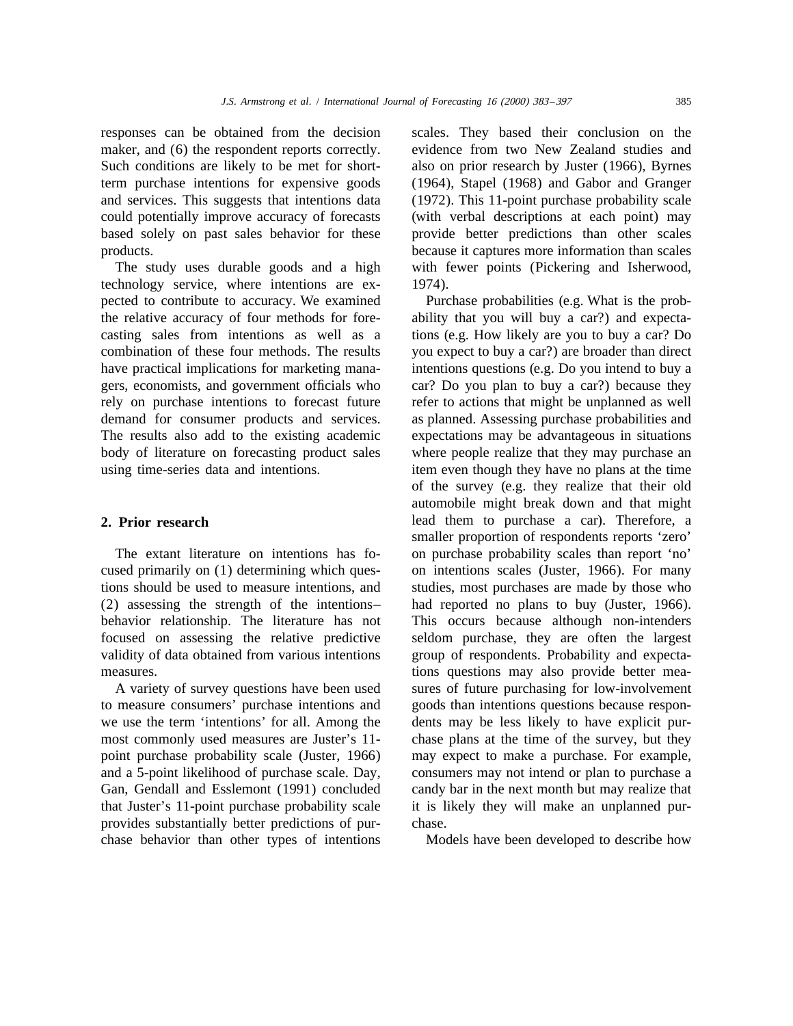responses can be obtained from the decision scales. They based their conclusion on the maker, and (6) the respondent reports correctly. evidence from two New Zealand studies and Such conditions are likely to be met for short- also on prior research by Juster (1966), Byrnes term purchase intentions for expensive goods (1964), Stapel (1968) and Gabor and Granger and services. This suggests that intentions data (1972). This 11-point purchase probability scale could potentially improve accuracy of forecasts (with verbal descriptions at each point) may based solely on past sales behavior for these provide better predictions than other scales products. because it captures more information than scales

technology service, where intentions are ex- 1974). pected to contribute to accuracy. We examined Purchase probabilities (e.g. What is the probthe relative accuracy of four methods for fore- ability that you will buy a car?) and expectacasting sales from intentions as well as a tions (e.g. How likely are you to buy a car? Do combination of these four methods. The results you expect to buy a car?) are broader than direct have practical implications for marketing mana-<br>intentions questions (e.g. Do you intend to buy a gers, economists, and government officials who car? Do you plan to buy a car?) because they rely on purchase intentions to forecast future refer to actions that might be unplanned as well demand for consumer products and services. as planned. Assessing purchase probabilities and The results also add to the existing academic expectations may be advantageous in situations body of literature on forecasting product sales where people realize that they may purchase an using time-series data and intentions. item even though they have no plans at the time

cused primarily on (1) determining which ques- on intentions scales (Juster, 1966). For many tions should be used to measure intentions, and studies, most purchases are made by those who (2) assessing the strength of the intentions– had reported no plans to buy (Juster, 1966). behavior relationship. The literature has not This occurs because although non-intenders focused on assessing the relative predictive seldom purchase, they are often the largest validity of data obtained from various intentions group of respondents. Probability and expectameasures. tions questions may also provide better mea-

to measure consumers' purchase intentions and goods than intentions questions because responwe use the term 'intentions' for all. Among the dents may be less likely to have explicit purmost commonly used measures are Juster's 11- chase plans at the time of the survey, but they point purchase probability scale (Juster, 1966) may expect to make a purchase. For example, and a 5-point likelihood of purchase scale. Day, consumers may not intend or plan to purchase a Gan, Gendall and Esslemont (1991) concluded candy bar in the next month but may realize that that Juster's 11-point purchase probability scale it is likely they will make an unplanned purprovides substantially better predictions of pur- chase. chase behavior than other types of intentions Models have been developed to describe how

The study uses durable goods and a high with fewer points (Pickering and Isherwood,

of the survey (e.g. they realize that their old automobile might break down and that might **2. Prior research** lead them to purchase a car). Therefore, a smaller proportion of respondents reports 'zero' The extant literature on intentions has fo- on purchase probability scales than report 'no' A variety of survey questions have been used sures of future purchasing for low-involvement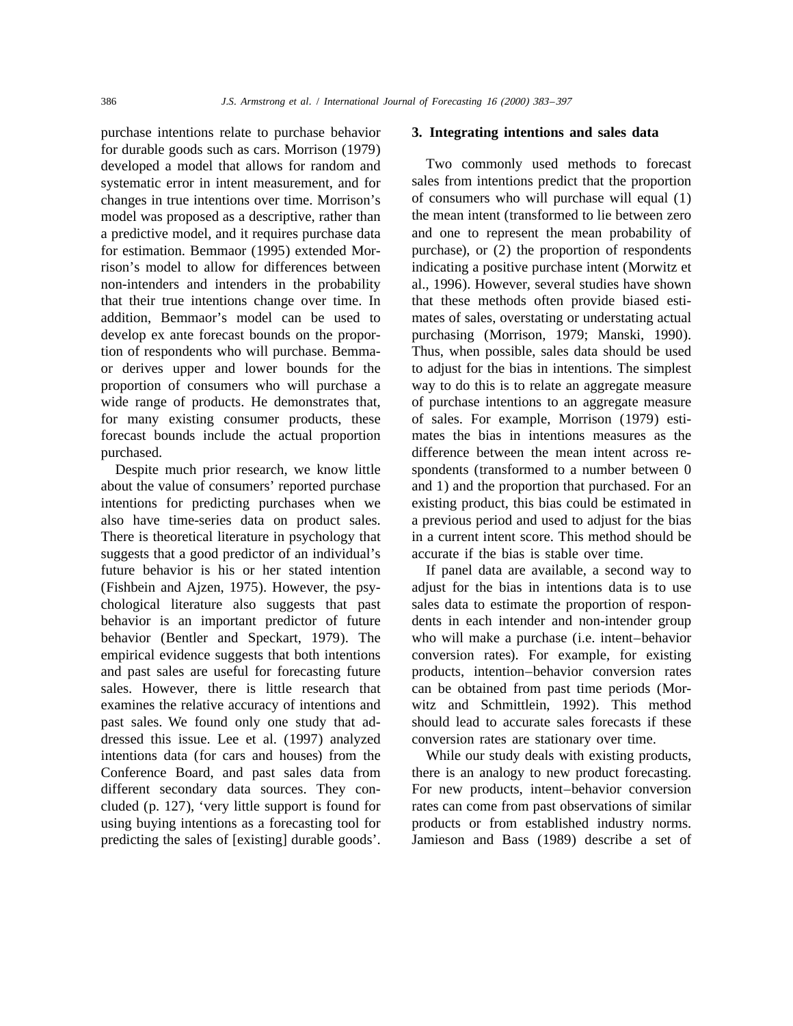purchase intentions relate to purchase behavior **3. Integrating intentions and sales data** for durable goods such as cars. Morrison (1979) developed a model that allows for random and<br>systematic error in intent measurement and for sales from intentions predict that the proportion systematic error in intent measurement, and for sales from intentions predict that the proportion changes in true intentions over time. Morrison's of consumers who will purchase will equal (1) changes in true intentions over time. Morrison's model was proposed as a descriptive, rather than the mean intent (transformed to lie between zero a predictive model, and it requires purchase data and one to represent the mean probability of for estimation. Bemmaor (1995) extended Mor- purchase), or (2) the proportion of respondents rison's model to allow for differences between indicating a positive purchase intent (Morwitz et non-intenders and intenders in the probability al., 1996). However, several studies have shown that their true intentions change over time. In that these methods often provide biased estiaddition, Bemmaor's model can be used to mates of sales, overstating or understating actual develop ex ante forecast bounds on the propor- purchasing (Morrison, 1979; Manski, 1990). tion of respondents who will purchase. Bemma- Thus, when possible, sales data should be used or derives upper and lower bounds for the to adjust for the bias in intentions. The simplest proportion of consumers who will purchase a way to do this is to relate an aggregate measure wide range of products. He demonstrates that, of purchase intentions to an aggregate measure for many existing consumer products, these of sales. For example, Morrison (1979) estiforecast bounds include the actual proportion mates the bias in intentions measures as the purchased. difference between the mean intent across re-

about the value of consumers' reported purchase and 1) and the proportion that purchased. For an intentions for predicting purchases when we existing product, this bias could be estimated in also have time-series data on product sales. a previous period and used to adjust for the bias There is theoretical literature in psychology that in a current intent score. This method should be suggests that a good predictor of an individual's accurate if the bias is stable over time. future behavior is his or her stated intention If panel data are available, a second way to (Fishbein and Ajzen, 1975). However, the psy- adjust for the bias in intentions data is to use chological literature also suggests that past sales data to estimate the proportion of responbehavior is an important predictor of future dents in each intender and non-intender group behavior (Bentler and Speckart, 1979). The who will make a purchase (i.e. intent–behavior empirical evidence suggests that both intentions conversion rates). For example, for existing and past sales are useful for forecasting future products, intention–behavior conversion rates sales. However, there is little research that can be obtained from past time periods (Morexamines the relative accuracy of intentions and witz and Schmittlein, 1992). This method past sales. We found only one study that ad- should lead to accurate sales forecasts if these dressed this issue. Lee et al. (1997) analyzed conversion rates are stationary over time. intentions data (for cars and houses) from the While our study deals with existing products, Conference Board, and past sales data from there is an analogy to new product forecasting. different secondary data sources. They con- For new products, intent–behavior conversion cluded (p. 127), 'very little support is found for rates can come from past observations of similar using buying intentions as a forecasting tool for products or from established industry norms. predicting the sales of [existing] durable goods'. Jamieson and Bass (1989) describe a set of

Despite much prior research, we know little spondents (transformed to a number between 0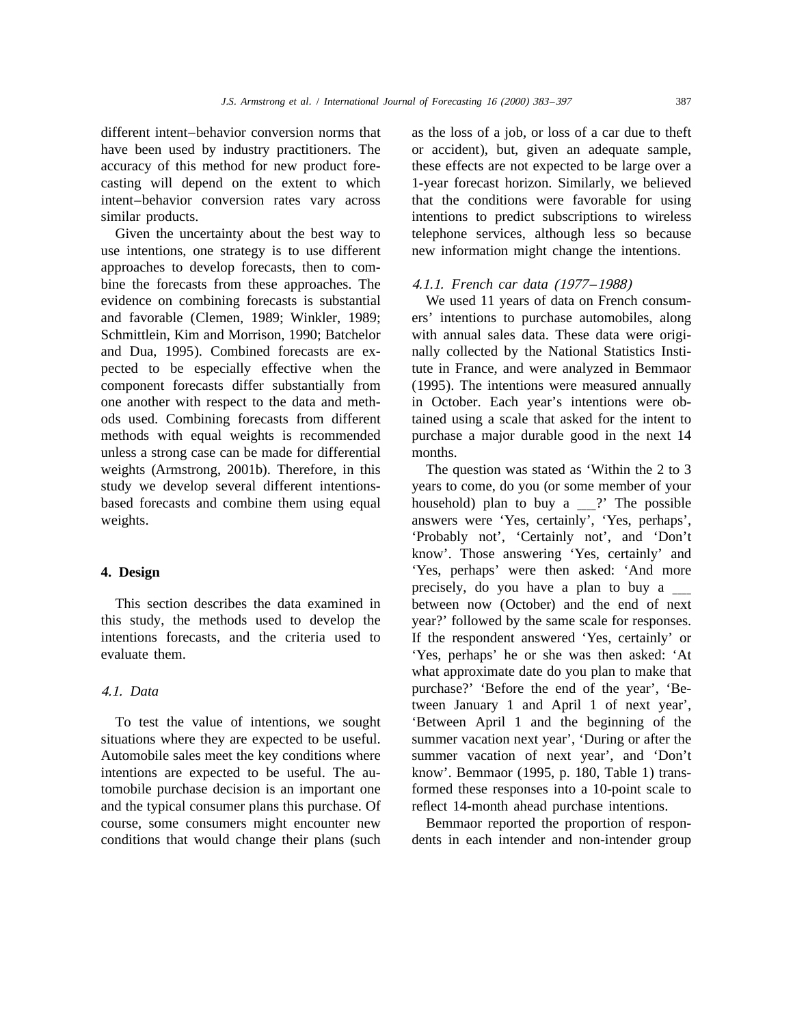different intent–behavior conversion norms that as the loss of a job, or loss of a car due to theft have been used by industry practitioners. The or accident), but, given an adequate sample, accuracy of this method for new product fore- these effects are not expected to be large over a casting will depend on the extent to which 1-year forecast horizon. Similarly, we believed intent–behavior conversion rates vary across that the conditions were favorable for using similar products. The intentions to predict subscriptions to wireless

use intentions, one strategy is to use different new information might change the intentions. approaches to develop forecasts, then to combine the forecasts from these approaches. The 4.1.1. *French car data* (1977–1988) evidence on combining forecasts is substantial We used 11 years of data on French consumand favorable (Clemen, 1989; Winkler, 1989; ers' intentions to purchase automobiles, along Schmittlein, Kim and Morrison, 1990; Batchelor with annual sales data. These data were origiand Dua, 1995). Combined forecasts are ex- nally collected by the National Statistics Instipected to be especially effective when the tute in France, and were analyzed in Bemmaor component forecasts differ substantially from (1995). The intentions were measured annually one another with respect to the data and meth- in October. Each year's intentions were obods used. Combining forecasts from different tained using a scale that asked for the intent to methods with equal weights is recommended purchase a major durable good in the next 14 unless a strong case can be made for differential months. weights (Armstrong, 2001b). Therefore, in this The question was stated as 'Within the 2 to 3 study we develop several different intentions-<br>study we develop several different intentionsbased forecasts and combine them using equal household) plan to buy a <sup>2</sup>. The possible weights. <br>weights.  $\frac{1}{2}$  weights.

this study, the methods used to develop the year?' followed by the same scale for responses. intentions forecasts, and the criteria used to If the respondent answered 'Yes, certainly' or evaluate them. 'Yes, perhaps' he or she was then asked: 'At

and the typical consumer plans this purchase. Of reflect 14-month ahead purchase intentions. course, some consumers might encounter new Bemmaor reported the proportion of responconditions that would change their plans (such dents in each intender and non-intender group

Given the uncertainty about the best way to telephone services, although less so because

years to come, do you (or some member of your 'Probably not', 'Certainly not', and 'Don't know'. Those answering 'Yes, certainly' and **4. Design** 'Yes, perhaps' were then asked: 'And more precisely, do you have a plan to buy a This section describes the data examined in between now (October) and the end of next what approximate date do you plan to make that 4.1. *Data* purchase?' 'Before the end of the year', 'Between January 1 and April 1 of next year', To test the value of intentions, we sought 'Between April 1 and the beginning of the situations where they are expected to be useful. summer vacation next year', 'During or after the Automobile sales meet the key conditions where summer vacation of next year', and 'Don't intentions are expected to be useful. The au-<br>know'. Bemmaor (1995, p. 180, Table 1) transtomobile purchase decision is an important one formed these responses into a 10-point scale to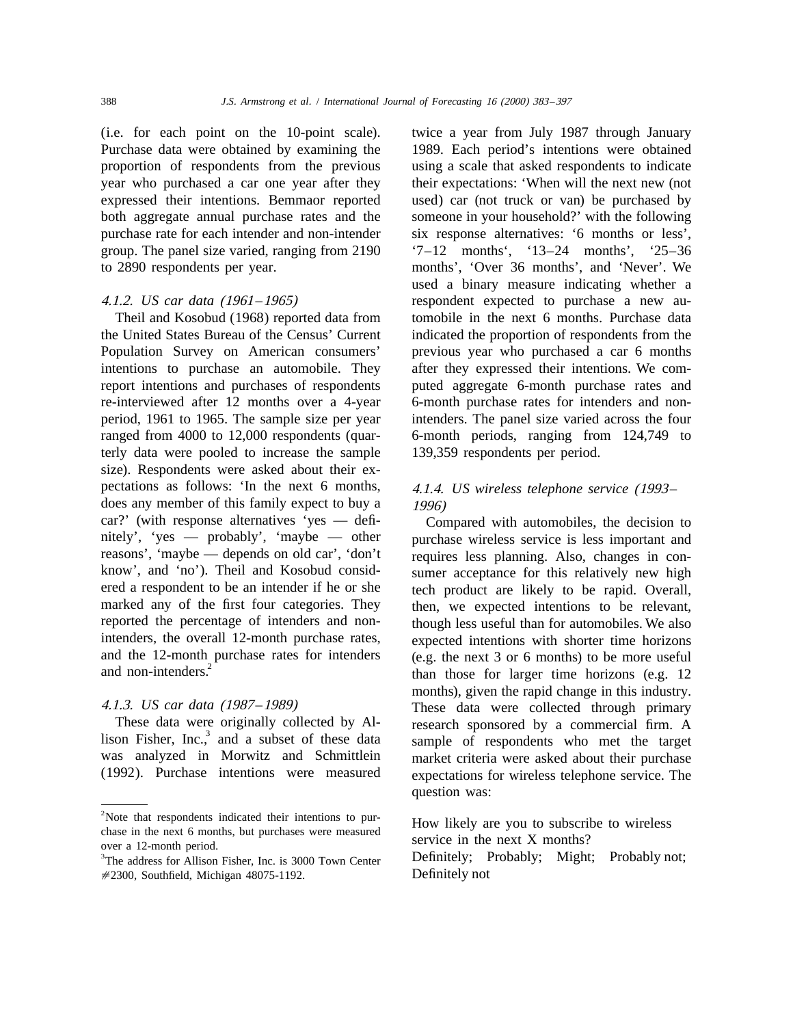(i.e. for each point on the 10-point scale). twice a year from July 1987 through January Purchase data were obtained by examining the 1989. Each period's intentions were obtained proportion of respondents from the previous using a scale that asked respondents to indicate year who purchased a car one year after they their expectations: 'When will the next new (not expressed their intentions. Bemmaor reported used) car (not truck or van) be purchased by both aggregate annual purchase rates and the someone in your household?' with the following purchase rate for each intender and non-intender six response alternatives: '6 months or less', group. The panel size varied, ranging from 2190 '7–12 months', '13–24 months', '25–36 to 2890 respondents per year. months', 'Over 36 months', and 'Never'. We

the United States Bureau of the Census' Current indicated the proportion of respondents from the Population Survey on American consumers' previous year who purchased a car 6 months intentions to purchase an automobile. They after they expressed their intentions. We comreport intentions and purchases of respondents puted aggregate 6-month purchase rates and re-interviewed after 12 months over a 4-year 6-month purchase rates for intenders and nonperiod, 1961 to 1965. The sample size per year intenders. The panel size varied across the four ranged from 4000 to 12,000 respondents (quar- 6-month periods, ranging from 124,749 to terly data were pooled to increase the sample 139,359 respondents per period. size). Respondents were asked about their expectations as follows: 'In the next 6 months, 4.1.4. *US wireless telephone service* (1993– does any member of this family expect to buy a 1996) car?' (with response alternatives 'yes — defi-<br>nitely', 'yes — probably', 'maybe — other purchase wireless service is less important and nitely', 'yes — probably', 'maybe — other purchase wireless service is less important and reasons', 'maybe — depends on old car', 'don't requires less planning. Also changes in conreasons', 'maybe — depends on old car', 'don't requires less planning. Also, changes in con-<br>know', and 'no'). Theil and Kosobud consid-<br>sumer accentance for this relatively new high know', and 'no'). Theil and Kosobud consid-<br>ered a respondent to be an intender if he or she<br>tech product are likely to be rapid Overall ered a respondent to be an intender if he or she<br>marked any of the first four categories. They then we expected intentions to be relevant marked any of the first four categories. They then, we expected intentions to be relevant, reported the percentage of intenders and nonreported the percentage of intenders and non-<br>intenders, the overall 12-month purchase rates,<br>expected intentions with shorter time horizons intenders, the overall 12-month purchase rates, expected intentions with shorter time horizons and the 12-month purchase rates for intenders (e.g. the next 3 or 6 months) to be more useful

was analyzed in Morwitz and Schmittlein market criteria were asked about their purchase<br>(1992). Purchase intentions were measured expectations for wireless telephone service. The

used a binary measure indicating whether a 4.1.2. *US car data* (1961 –1965) respondent expected to purchase a new au-Theil and Kosobud (1968) reported data from tomobile in the next 6 months. Purchase data

and the 12-month purchase rates for intenders (e.g. the next 3 or 6 months) to be more useful and non-intenders.  $\frac{2}{12}$  than those for larger time horizons (e.g. 12 months), given the rapid change in this industry. 4.1.3. *US car data* (1987–1989) These data were collected through primary<br>These data were originally collected by Al-<br>research sponsored by a commercial firm A These data were originally collected by Al-<br>Itson Fisher, Inc.,<sup>3</sup> and a subset of these data sample of respondents who met the target<br>was analyzed in Morwitz and Schmittlein<br>market criteria were asked about their purchase expectations for wireless telephone service. The question was:

Definitely; Probably; Might; Probably not; Definitely not

 $2^{\circ}$ Note that respondents indicated their intentions to pur-Note that respondents indicated their intentions to pur-<br>
chase in the next 6 months, but purchases were measured service in the next X months?

<sup>&</sup>lt;sup>3</sup>The address for Allison Fisher, Inc. is 3000 Town Center #2300, Southfield, Michigan 48075-1192.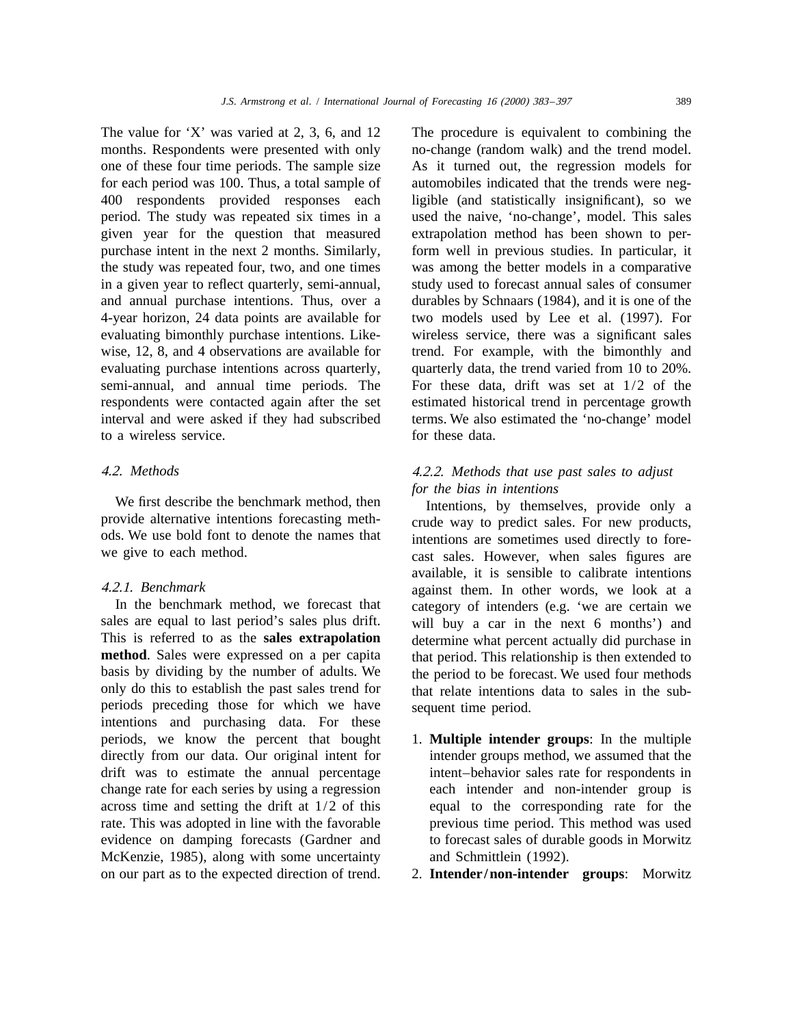months. Respondents were presented with only no-change (random walk) and the trend model. one of these four time periods. The sample size As it turned out, the regression models for for each period was 100. Thus, a total sample of automobiles indicated that the trends were neg-400 respondents provided responses each ligible (and statistically insignificant), so we period. The study was repeated six times in a used the naive, 'no-change', model. This sales given year for the question that measured extrapolation method has been shown to perpurchase intent in the next 2 months. Similarly, form well in previous studies. In particular, it the study was repeated four, two, and one times was among the better models in a comparative in a given year to reflect quarterly, semi-annual, study used to forecast annual sales of consumer and annual purchase intentions. Thus, over a durables by Schnaars (1984), and it is one of the 4-year horizon, 24 data points are available for two models used by Lee et al. (1997). For evaluating bimonthly purchase intentions. Like- wireless service, there was a significant sales wise, 12, 8, and 4 observations are available for trend. For example, with the bimonthly and evaluating purchase intentions across quarterly, quarterly data, the trend varied from 10 to 20%. semi-annual, and annual time periods. The For these data, drift was set at  $1/2$  of the respondents were contacted again after the set estimated historical trend in percentage growth interval and were asked if they had subscribed terms. We also estimated the 'no-change' model to a wireless service. These data for these data.

We first describe the benchmark method, then Intentions, by themselves, provide only a<br>provide alternative intentions forecasting meth-<br>crude way to predict sales. For new products

In the benchmark method, we forecast that category of intenders (e.g. 'we are certain we sales are equal to last period's sales plus drift. will buy a car in the next 6 months') and sales are equal to last period's sales plus drift. will buy a car in the next 6 months') and This is referred to as the **sales extrapolation** determine what percent actually did purchase in This is referred to as the **sales extrapolation** determine what percent actually did purchase in **method**. Sales were expressed on a per capita that period This relationship is then extended to **method**. Sales were expressed on a per capita that period. This relationship is then extended to basis by dividing by the number of adults. We the period to be forecast We used four methods only do this to establish the past sales trend for that relate intentions data to sales in the subperiods preceding those for which we have sequent time period. intentions and purchasing data. For these periods, we know the percent that bought 1. **Multiple intender groups**: In the multiple directly from our data. Our original intent for intender groups method, we assumed that the drift was to estimate the annual percentage intent–behavior sales rate for respondents in change rate for each series by using a regression each intender and non-intender group is across time and setting the drift at  $1/2$  of this equal to the corresponding rate for the rate. This was adopted in line with the favorable previous time period. This method was used evidence on damping forecasts (Gardner and to forecast sales of durable goods in Morwitz McKenzie, 1985), along with some uncertainty and Schmittlein (1992). on our part as to the expected direction of trend. 2. **Intender/non-intender groups**: Morwitz

The value for 'X' was varied at  $2, 3, 6$ , and  $12$  The procedure is equivalent to combining the

## 4.2. *Methods* 4.2.2. *Methods that use past sales to adjust for the bias in intentions*

provide alternative intentions forecasting meth-<br>ods. We use bold font to denote the names that<br>intentions are sometimes used directly to fore ods. We use bold font to denote the names that intentions are sometimes used directly to fore-<br>we give to each method. cast sales. However, when sales figures are available, it is sensible to calibrate intentions 4.2.1. *Benchmark* against them. In other words, we look at a<br>In the benchmark method, we forecast that category of intenders (e.g. 'we are certain we the period to be forecast. We used four methods.

- 
-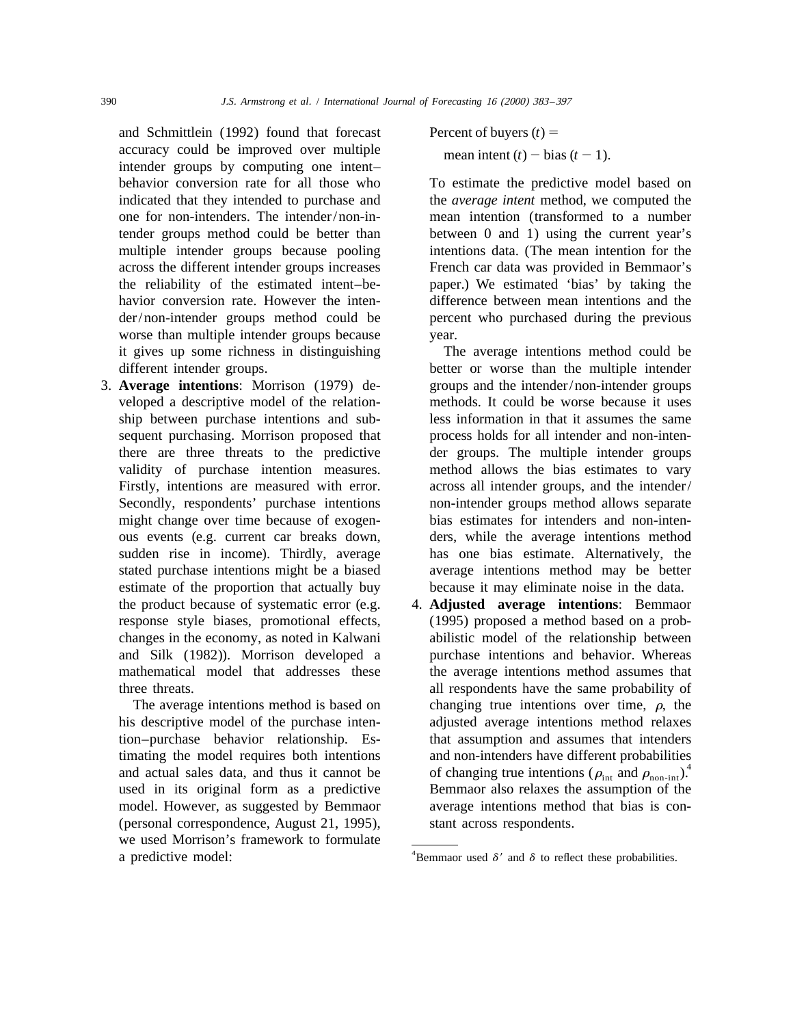and Schmittlein (1992) found that forecast Percent of buyers  $(t)$  = accuracy could be improved over multiple mean intent  $(t)$  - bias  $(t - 1)$ .<br>intender groups by computing one intent– behavior conversion rate for all those who To estimate the predictive model based on indicated that they intended to purchase and the *average intent* method, we computed the one for non-intenders. The intender/non-in- mean intention (transformed to a number tender groups method could be better than between 0 and 1) using the current year's multiple intender groups because pooling intentions data. (The mean intention for the across the different intender groups increases French car data was provided in Bemmaor's the reliability of the estimated intent–be- paper.) We estimated 'bias' by taking the havior conversion rate. However the inten-<br>difference between mean intentions and the der/non-intender groups method could be percent who purchased during the previous worse than multiple intender groups because year. it gives up some richness in distinguishing The average intentions method could be different intender groups. better or worse than the multiple intender

veloped a descriptive model of the relation- methods. It could be worse because it uses ship between purchase intentions and sub- less information in that it assumes the same sequent purchasing. Morrison proposed that process holds for all intender and non-intenthere are three threats to the predictive der groups. The multiple intender groups validity of purchase intention measures. method allows the bias estimates to vary Firstly, intentions are measured with error. across all intender groups, and the intender/ Secondly, respondents' purchase intentions non-intender groups method allows separate might change over time because of exogen- bias estimates for intenders and non-intenous events (e.g. current car breaks down, ders, while the average intentions method sudden rise in income). Thirdly, average has one bias estimate. Alternatively, the stated purchase intentions might be a biased average intentions method may be better estimate of the proportion that actually buy because it may eliminate noise in the data.

used in its original form as a predictive (personal correspondence, August 21, 1995), stant across respondents. we used Morrison's framework to formulate a predictive model:  $\delta'$  and  $\delta$  to reflect these probabilities.

3. **Average intentions**: Morrison (1979) de- groups and the intender/non-intender groups

the product because of systematic error (e.g. 4. **Adjusted average intentions**: Bemmaor response style biases, promotional effects, (1995) proposed a method based on a probchanges in the economy, as noted in Kalwani abilistic model of the relationship between and Silk (1982)). Morrison developed a purchase intentions and behavior. Whereas mathematical model that addresses these the average intentions method assumes that three threats. all respondents have the same probability of The average intentions method is based on changing true intentions over time,  $\rho$ , the his descriptive model of the purchase inten- adjusted average intentions method relaxes tion–purchase behavior relationship. Es- that assumption and assumes that intenders timating the model requires both intentions and non-intenders have different probabilities<br>and actual sales data, and thus it cannot be of changing true intentions ( $\rho_{int}$  and  $\rho_{non-int}$ ).<sup>4</sup><br>used in its original form as a model. However, as suggested by Bemmaor average intentions method that bias is con-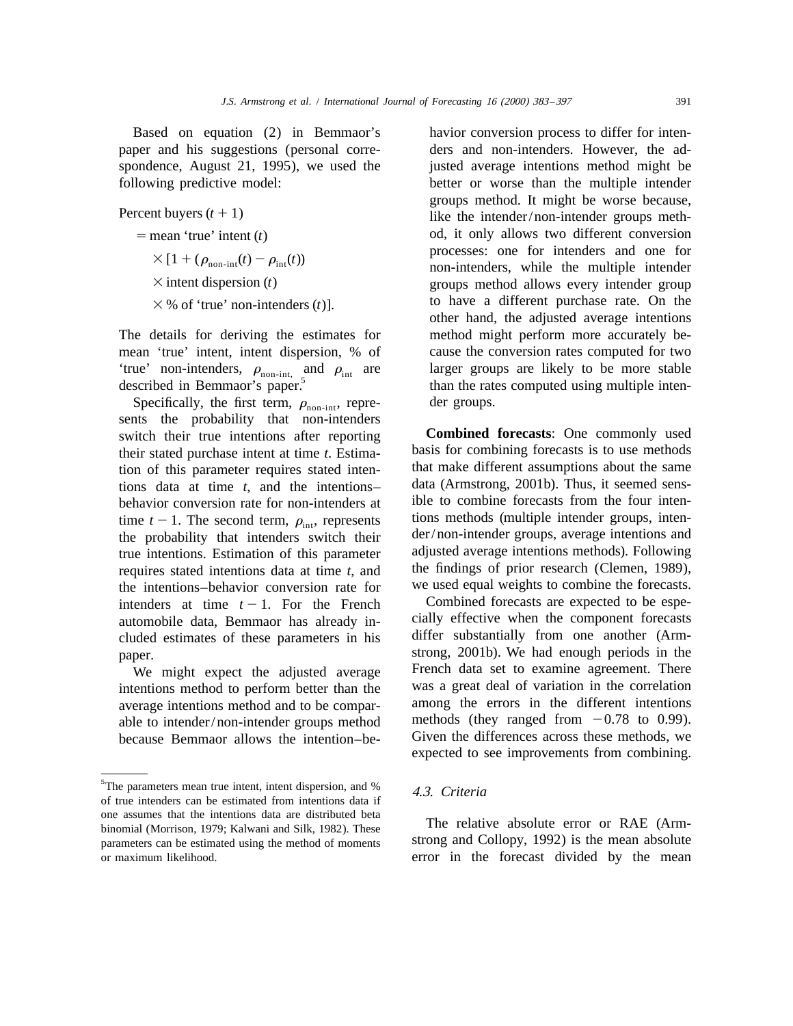paper and his suggestions (personal corre- ders and non-intenders. However, the ad-

mean 'true' intent, intent dispersion, % of cause the conversion rates computed for two 'true' non-intenders,  $\rho_{\text{non-int}}$  and  $\rho_{\text{int}}$  are larger groups are likely to be more stable described in Bemmaor's paper.<sup>5</sup>

Specifically, the first term,  $\rho_{\text{non-int}}$ , repre- der groups. sents the probability that non-intenders switch their true intentions after reporting **Combined forecasts**: One commonly used time  $t - 1$ . The second term,  $\rho_{\text{int}}$ , represents the probability that intenders switch their true intentions. Estimation of this parameter the intentions–behavior conversion rate for we used equal weights to combine the forecasts.<br>intenders at time  $t-1$  For the French Combined forecasts are expected to be espeintenders at time  $t-1$ . For the French

intentions method to perform better than the

Based on equation (2) in Bemmaor's havior conversion process to differ for intenspondence, August 21, 1995), we used the justed average intentions method might be following predictive model: better or worse than the multiple intender groups method. It might be worse because, Percent buyers  $(t + 1)$  like the intender/non-intender groups meth- $\begin{aligned}\n\mathbf{5} \text{ = mean 'true' intent (} \text{ } t\text{)} \\
\text{ = mean 'true' intent (} t\text{)} \\
\text{ = mean 'true' intent (} t\text{)} \\
\text{ = mean 'true' intent (} t\text{)} \\
\text{ = mean 'true' intent (} t\text{)} \\
\text{ = mean 'true' intent (} t\text{)} \\
\text{ = mean 'true' intent (} t\text{)} \\
\text{ = mean 'true' intent (} t\text{)} \\
\text{ = mean 'true' intent (} t\text{)} \\
\text{ = mean 'true' intent (} t\text{)} \\
\text{ = mean 'true' intent (} t\text{)} \\
\text{ = mean 'true' item (} t\text{)} \\$  $\times$  [1 + ( $\rho_{\text{non-int}}(t) - \rho_{\text{int}}(t)$ ) processes: one for intenders and one for  $\times$  intender  $\sigma$  non-intenders, while the multiple intender  $\sigma$  strender  $\sigma$  and  $\sigma$  and  $\sigma$  intender  $\sigma$ groups method allows every intender group  $\times$  % of 'true' non-intenders (*t*)]. to have a different purchase rate. On the other hand, the adjusted average intentions The details for deriving the estimates for method might perform more accurately be-

their stated purchase intent at time *t*. Estima-<br>basis for combining forecasts is to use methods tion of this parameter requires stated inten- that make different assumptions about the same tions data at time  $t$ , and the intentions–<br>
behavior conversion rate for non-intenders at ible to combine forecasts from the four intenbehavior conversion rate for non-intenders at ible to combine forecasts from the four intentime  $t-1$ . The second term  $\rho$  represents tions methods (multiple intender groups, intender/non-intender groups, average intentions and<br>adjusted average intentions methods). Following the findings of prior research (Clemen, 1989), requires stated intentions data at time  $t$ , and the findings of prior research (Clemen, 1989), the intentions-behavior conversion rate for we used equal weights to combine t

automobile data, Bemmaor has already in- cially effective when the component forecasts cluded estimates of these parameters in his differ substantially from one another (Armpaper. strong, 2001b). We had enough periods in the We might expect the adjusted average French data set to examine agreement. There<br>entions method to perform better than the was a great deal of variation in the correlation average intentions method and to be compar- among the errors in the different intentions able to intender/non-intender groups method methods (they ranged from  $-0.78$  to 0.99). because Bemmaor allows the intention–be- Given the differences across these methods, we expected to see improvements from combining.

parameters can be estimated using the method of moments strong and Collopy, 1992) is the mean absolute or maximum likelihood. error in the forecast divided by the mean

 $5$ The parameters mean true intent, intent dispersion, and  $%$ The parameters mean true intent, intent dispersion, and % 4.3. *Criteria* of true intenders can be estimated from intentions data if one assumes that the intentions data are distributed beta The relative absolute error or RAE (Arm- binomial (Morrison, 1979; Kalwani and Silk, 1982). These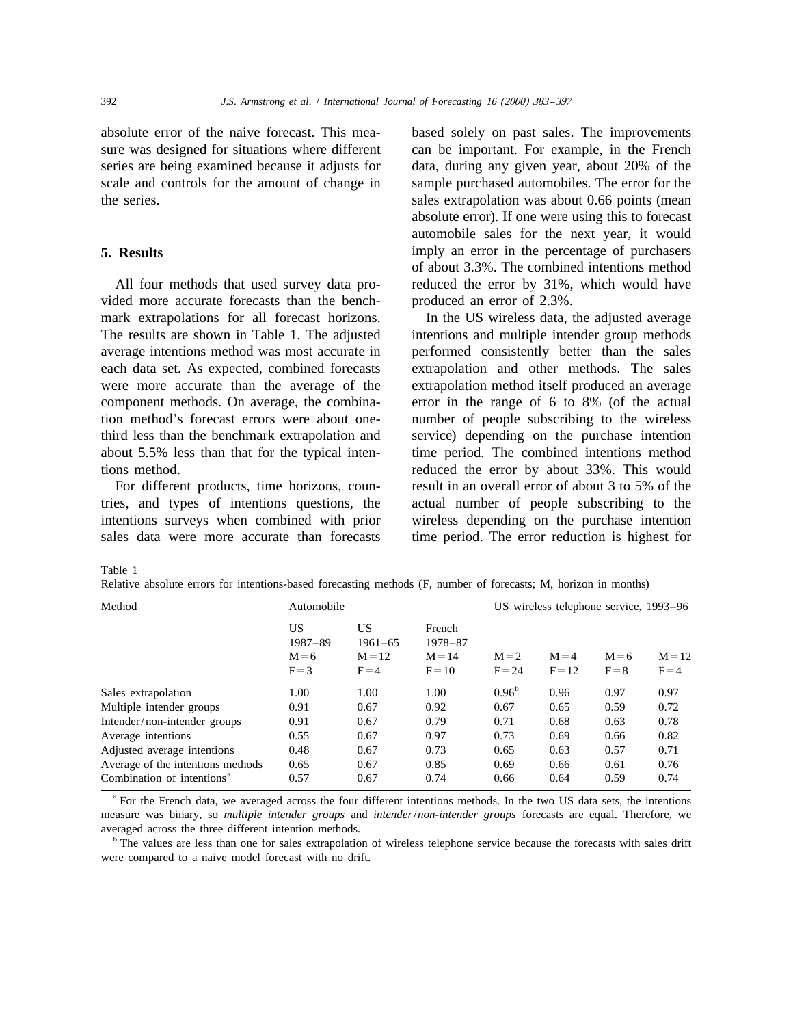absolute error of the naive forecast. This mea- based solely on past sales. The improvements sure was designed for situations where different can be important. For example, in the French series are being examined because it adjusts for data, during any given year, about 20% of the scale and controls for the amount of change in sample purchased automobiles. The error for the the series. sales extrapolation was about 0.66 points (mean

vided more accurate forecasts than the bench- produced an error of 2.3%. mark extrapolations for all forecast horizons. In the US wireless data, the adjusted average The results are shown in Table 1. The adjusted intentions and multiple intender group methods average intentions method was most accurate in performed consistently better than the sales each data set. As expected, combined forecasts extrapolation and other methods. The sales were more accurate than the average of the extrapolation method itself produced an average component methods. On average, the combina- error in the range of 6 to 8% (of the actual tion method's forecast errors were about one- number of people subscribing to the wireless third less than the benchmark extrapolation and service) depending on the purchase intention about 5.5% less than that for the typical inten- time period. The combined intentions method tions method. reduced the error by about 33%. This would

absolute error). If one were using this to forecast automobile sales for the next year, it would **5. Results** imply an error in the percentage of purchasers of about 3.3%. The combined intentions method All four methods that used survey data pro-<br>reduced the error by 31%, which would have

For different products, time horizons, coun-<br>result in an overall error of about 3 to 5% of the tries, and types of intentions questions, the actual number of people subscribing to the intentions surveys when combined with prior wireless depending on the purchase intention sales data were more accurate than forecasts time period. The error reduction is highest for time period. The error reduction is highest for

| ant |  |
|-----|--|
|     |  |

Relative absolute errors for intentions-based forecasting methods (F, number of forecasts; M, horizon in months)

| Method                                 | Automobile                          |                                           |                                               | US wireless telephone service, 1993–96 |                     |                    |                     |
|----------------------------------------|-------------------------------------|-------------------------------------------|-----------------------------------------------|----------------------------------------|---------------------|--------------------|---------------------|
|                                        | US<br>1987-89<br>$M = 6$<br>$F = 3$ | US.<br>$1961 - 65$<br>$M = 12$<br>$F = 4$ | French<br>$1978 - 87$<br>$M = 14$<br>$F = 10$ | $M = 2$<br>$F = 24$                    | $M = 4$<br>$F = 12$ | $M = 6$<br>$F = 8$ | $M = 12$<br>$F = 4$ |
| Sales extrapolation                    | 1.00                                | 1.00                                      | 1.00                                          | 0.96 <sup>b</sup>                      | 0.96                | 0.97               | 0.97                |
| Multiple intender groups               | 0.91                                | 0.67                                      | 0.92                                          | 0.67                                   | 0.65                | 0.59               | 0.72                |
| Intender/non-intender groups           | 0.91                                | 0.67                                      | 0.79                                          | 0.71                                   | 0.68                | 0.63               | 0.78                |
| Average intentions                     | 0.55                                | 0.67                                      | 0.97                                          | 0.73                                   | 0.69                | 0.66               | 0.82                |
| Adjusted average intentions            | 0.48                                | 0.67                                      | 0.73                                          | 0.65                                   | 0.63                | 0.57               | 0.71                |
| Average of the intentions methods      | 0.65                                | 0.67                                      | 0.85                                          | 0.69                                   | 0.66                | 0.61               | 0.76                |
| Combination of intentions <sup>a</sup> | 0.57                                | 0.67                                      | 0.74                                          | 0.66                                   | 0.64                | 0.59               | 0.74                |

<sup>a</sup> For the French data, we averaged across the four different intentions methods. In the two US data sets, the intentions measure was binary, so *multiple intender groups* and *intender*/*non*-*intender groups* forecasts are equal. Therefore, we averaged across the three different intention methods.

<sup>b</sup> The values are less than one for sales extrapolation of wireless telephone service because the forecasts with sales drift were compared to a naive model forecast with no drift.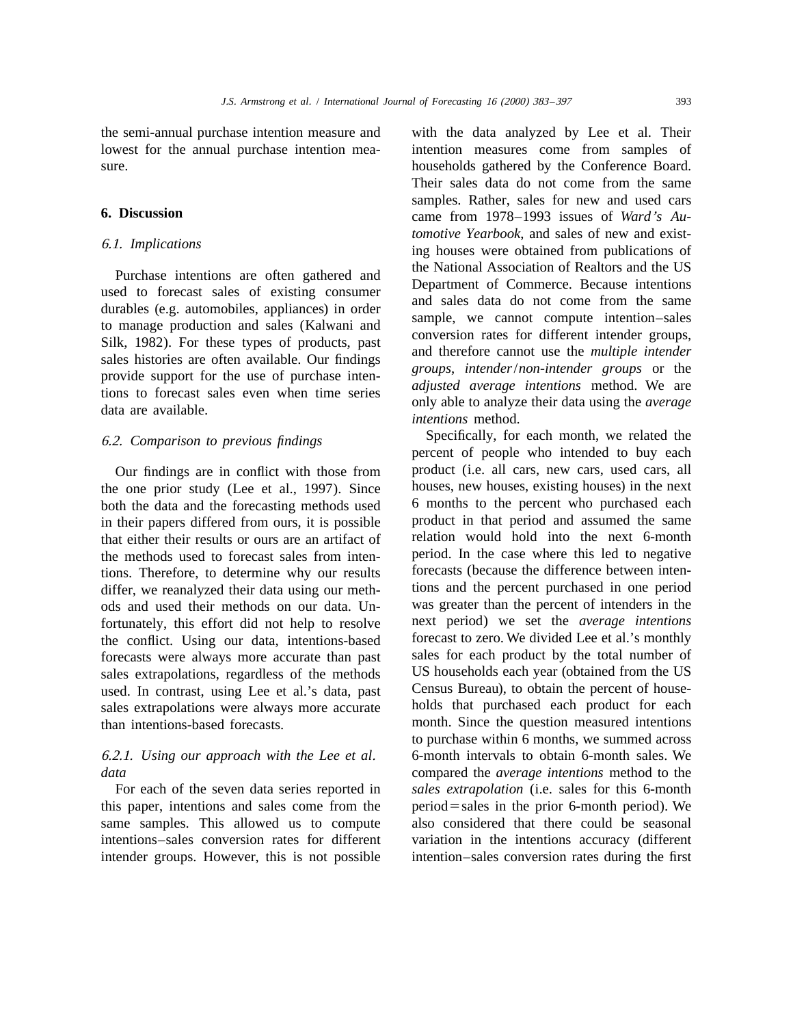the one prior study (Lee et al., 1997). Since houses, new houses, existing houses) in the next both the data and the forecasting methods used 6 months to the percent who purchased each both the data and the forecasting methods used 6 months to the percent who purchased each<br>in their papers differed from ours it is possible broduct in that period and assumed the same in their papers differed from ours, it is possible product in that period and assumed the same<br>that either their results or ours are an artifact of prelation would hold into the next 6-month that either their results or ours are an artifact of relation would hold into the next 6-month<br>the methods used to forecast sales from inten-<br>period. In the case where this led to negative the methods used to forecast sales from inten-<br>tions. Therefore to determine why our results forecasts (because the difference between intentions. Therefore, to determine why our results forecasts (because the difference between inten-<br>difference between inten-<br>difference between inten-<br>difference between inten-<br>difference between inten-<br>difference between the differ, we reanalyzed their data using our meth-<br>ods and used their methods on our data Un-<br>was greater than the percent of intenders in the ods and used their methods on our data. Un-<br>fortunately this effort did not help to resolve and the period) we set the *average intentions* fortunately, this effort did not help to resolve next period) we set the *average intentions*<br>the conflict. Using our data, intentions-based forecast to zero. We divided Lee et al.'s monthly the conflict. Using our data, intentions-based forecast to zero. We divided Lee et al.'s monthly forecasts were always more accurate than past sales for each product by the total number of forecasts were always more accurate than past sales for each product by the total number of sales extrapolations regardless of the methods US households each year (obtained from the US sales extrapolations, regardless of the methods US households each year (obtained from the US used In contrast using Lee et al's data past Census Bureau), to obtain the percent of houseused. In contrast, using Lee et al.'s data, past Census Bureau), to obtain the percent of house-<br>sales extrapolations were always more accurate holds that purchased each product for each sales extrapolations were always more accurate than intentions-based forecasts. month. Since the question measured intentions

this paper, intentions and sales come from the period  $=$  sales in the prior 6-month period). We same samples. This allowed us to compute also considered that there could be seasonal intentions–sales conversion rates for different variation in the intentions accuracy (different intender groups. However, this is not possible intention–sales conversion rates during the first

the semi-annual purchase intention measure and with the data analyzed by Lee et al. Their lowest for the annual purchase intention mea-<br>intention measures come from samples of sure. households gathered by the Conference Board. Their sales data do not come from the same samples. Rather, sales for new and used cars **6. Discussion** came from 1978–1993 issues of *Ward*'*s Automotive Yearbook*, and sales of new and exist-<br> *tomotive Yearbook*, and sales of new and exist-<br>
ing houses were obtained from publications of Purchase intentions are often gathered and<br>used to forecast sales of existing consumer<br>durables (e.g. automobiles, appliances) in order<br>to manage production and sales (Kalwani and<br>sales data do not come from the same<br>sales

6.2. *Comparison to previous findings* Specifically, for each month, we related the percent of people who intended to buy each Our findings are in conflict with those from product (i.e. all cars, new cars, used cars, all care prior study (Lee et al. 1997) Since houses, new houses, existing houses) in the next to purchase within 6 months, we summed across 6.2.1. *Using our approach with the Lee et al*. 6-month intervals to obtain 6-month sales. We *data* compared the *average intentions* method to the For each of the seven data series reported in *sales extrapolation* (i.e. sales for this 6-month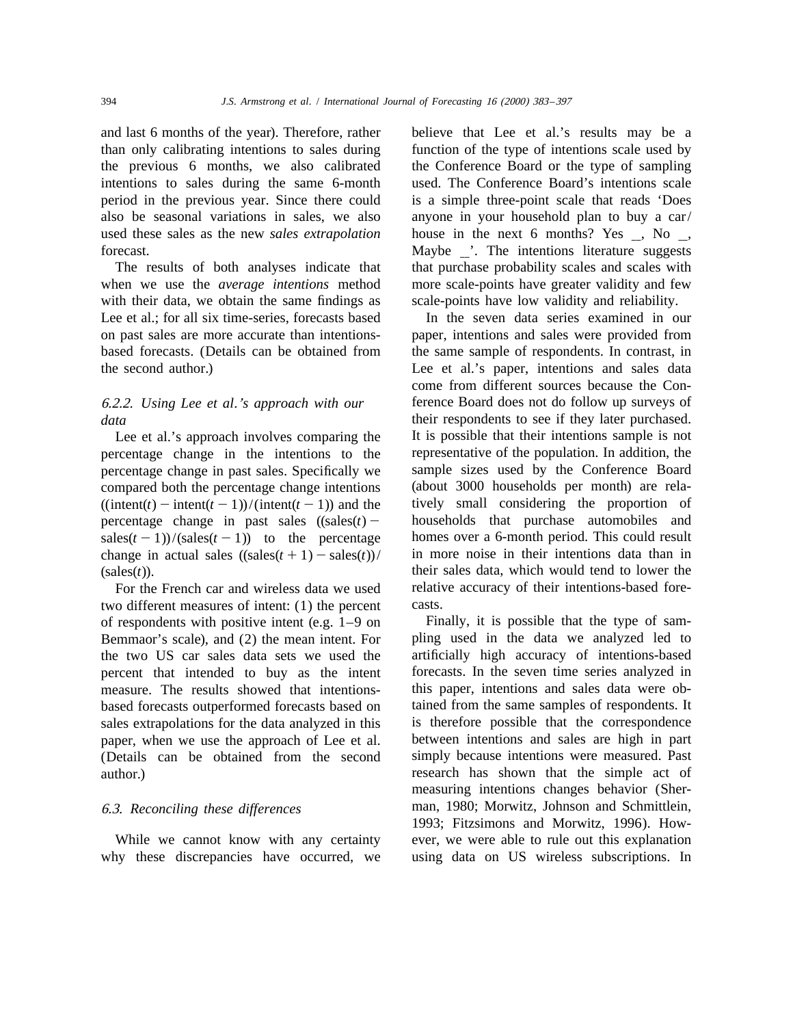and last 6 months of the year). Therefore, rather believe that Lee et al.'s results may be a than only calibrating intentions to sales during function of the type of intentions scale used by the previous 6 months, we also calibrated the Conference Board or the type of sampling intentions to sales during the same 6-month used. The Conference Board's intentions scale intentions to sales during the same 6-month period in the previous year. Since there could is a simple three-point scale that reads 'Does also be seasonal variations in sales, we also anyone in your household plan to buy a car/

when we use the *average intentions* method more scale-points have greater validity and few with their data, we obtain the same findings as scale-points have low validity and reliability. Lee et al.; for all six time-series, forecasts based In the seven data series examined in our on past sales are more accurate than intentions- paper, intentions and sales were provided from based forecasts. (Details can be obtained from the same sample of respondents. In contrast, in the second author.) Lee et al.'s paper, intentions and sales data

percentage change in the intentions to the representative of the population. In addition, the percentage change in past sales. Specifically we sample sizes used by the Conference Board percentage change in past sales. Specifically we sample sizes used by the Conference Board<br>compared both the percentage change intentions (about 3000 households per month) are relacompared both the percentage change intentions  $((\text{intent}(t) - \text{intent}(t - 1)) / (\text{intent}(t - 1))$  and the tively small considering the proportion of percentage change in past sales  $((\text{sales}(t) - \text{households})$  that purchase automobiles and percentage change in past sales  $((\text{sales}(t) - \text{households})$  that purchase automobiles and sales $(t-1)/(sales(t-1))$  to the percentage homes over a 6-month period. This could result sales $(t-1)$ )/(sales $(t-1)$ ) to the percentage change in actual sales  $((\text{sales}(t + 1) - \text{sales}(t)))$  in more noise in their intentions data than in (sales(*t*)). their sales data, which would tend to lower the

two different measures of intent: (1) the percent casts. of respondents with positive intent (e.g.  $1-9$  on Finally, it is possible that the type of sam-Bemmaor's scale), and (2) the mean intent. For pling used in the data we analyzed led to the two US car sales data sets we used the artificially high accuracy of intentions-based percent that intended to buy as the intent forecasts. In the seven time series analyzed in measure. The results showed that intentions- this paper, intentions and sales data were obbased forecasts outperformed forecasts based on tained from the same samples of respondents. It sales extrapolations for the data analyzed in this is therefore possible that the correspondence sales extrapolations for the data analyzed in this is therefore possible that the correspondence paper, when we use the approach of Lee et al. between intentions and sales are high in part paper, when we use the approach of Lee et al. (Details can be obtained from the second simply because intentions were measured. Past author.) research has shown that the simple act of

used these sales as the new *sales extrapolation* house in the next 6 months? Yes \_, No \_, forecast. Maybe \_'. The intentions literature suggests The results of both analyses indicate that that purchase probability scales

come from different sources because the Con-6.2.2. *Using Lee et al*.'*s approach with our* ference Board does not do follow up surveys of *data* their respondents to see if they later purchased.<br>Lee et al.'s approach involves comparing the It is possible that their intentions sample is not Lee et al.'s approach involves comparing the It is possible that their intentions sample is not recentage change in the intentions to the representative of the population. In addition, the For the French car and wireless data we used relative accuracy of their intentions-based fore-

measuring intentions changes behavior (Sher-6.3. *Reconciling these differences* man, 1980; Morwitz, Johnson and Schmittlein, 1993; Fitzsimons and Morwitz, 1996). How-While we cannot know with any certainty ever, we were able to rule out this explanation why these discrepancies have occurred, we using data on US wireless subscriptions. In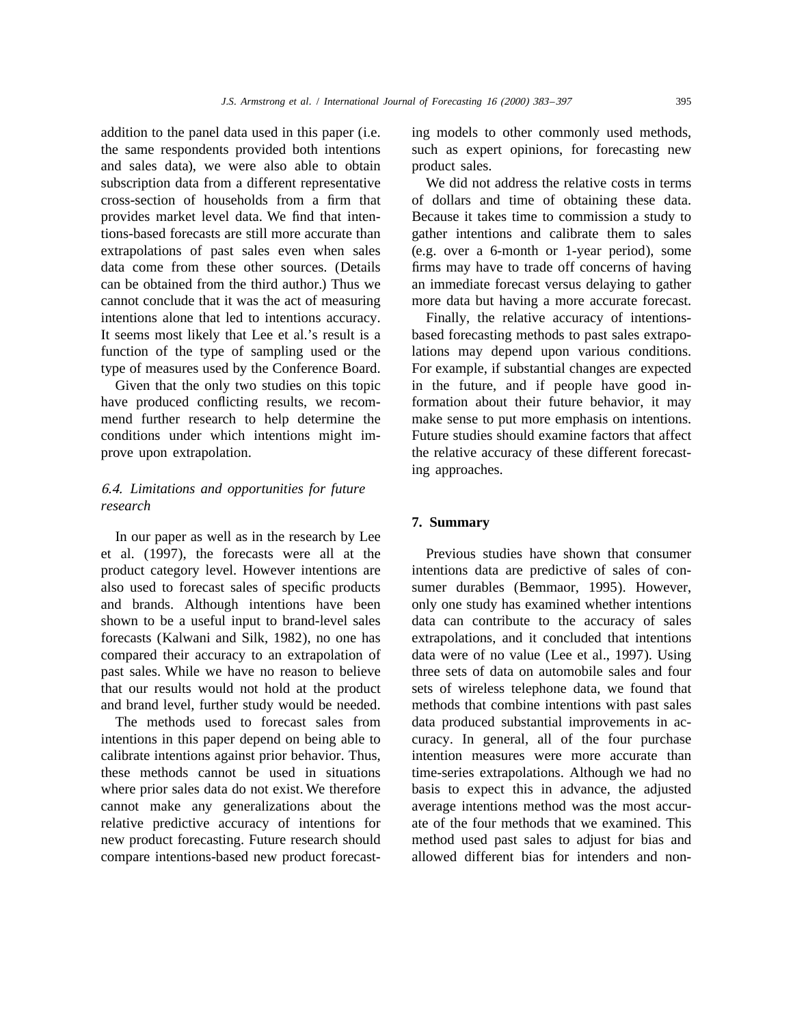the same respondents provided both intentions such as expert opinions, for forecasting new and sales data), we were also able to obtain product sales. subscription data from a different representative We did not address the relative costs in terms cross-section of households from a firm that of dollars and time of obtaining these data. provides market level data. We find that inten- Because it takes time to commission a study to tions-based forecasts are still more accurate than gather intentions and calibrate them to sales extrapolations of past sales even when sales (e.g. over a 6-month or 1-year period), some data come from these other sources. (Details firms may have to trade off concerns of having can be obtained from the third author.) Thus we an immediate forecast versus delaying to gather cannot conclude that it was the act of measuring more data but having a more accurate forecast. intentions alone that led to intentions accuracy. Finally, the relative accuracy of intentions-It seems most likely that Lee et al.'s result is a based forecasting methods to past sales extrapofunction of the type of sampling used or the lations may depend upon various conditions. type of measures used by the Conference Board. For example, if substantial changes are expected

have produced conflicting results, we recom-<br>formation about their future behavior, it may mend further research to help determine the make sense to put more emphasis on intentions. conditions under which intentions might im- Future studies should examine factors that affect prove upon extrapolation. the relative accuracy of these different forecast-

### 6.4. *Limitations and opportunities for future research*

In our paper as well as in the research by Lee et al. (1997), the forecasts were all at the Previous studies have shown that consumer product category level. However intentions are intentions data are predictive of sales of conalso used to forecast sales of specific products sumer durables (Bemmaor, 1995). However, and brands. Although intentions have been only one study has examined whether intentions shown to be a useful input to brand-level sales data can contribute to the accuracy of sales forecasts (Kalwani and Silk, 1982), no one has extrapolations, and it concluded that intentions compared their accuracy to an extrapolation of data were of no value (Lee et al., 1997). Using past sales. While we have no reason to believe three sets of data on automobile sales and four that our results would not hold at the product sets of wireless telephone data, we found that and brand level, further study would be needed. methods that combine intentions with past sales

intentions in this paper depend on being able to curacy. In general, all of the four purchase calibrate intentions against prior behavior. Thus, intention measures were more accurate than these methods cannot be used in situations time-series extrapolations. Although we had no where prior sales data do not exist. We therefore basis to expect this in advance, the adjusted cannot make any generalizations about the average intentions method was the most accurrelative predictive accuracy of intentions for ate of the four methods that we examined. This new product forecasting. Future research should method used past sales to adjust for bias and compare intentions-based new product forecast- allowed different bias for intenders and non-

addition to the panel data used in this paper (i.e. ing models to other commonly used methods,

Given that the only two studies on this topic in the future, and if people have good ining approaches.

### **7. Summary**

The methods used to forecast sales from data produced substantial improvements in ac-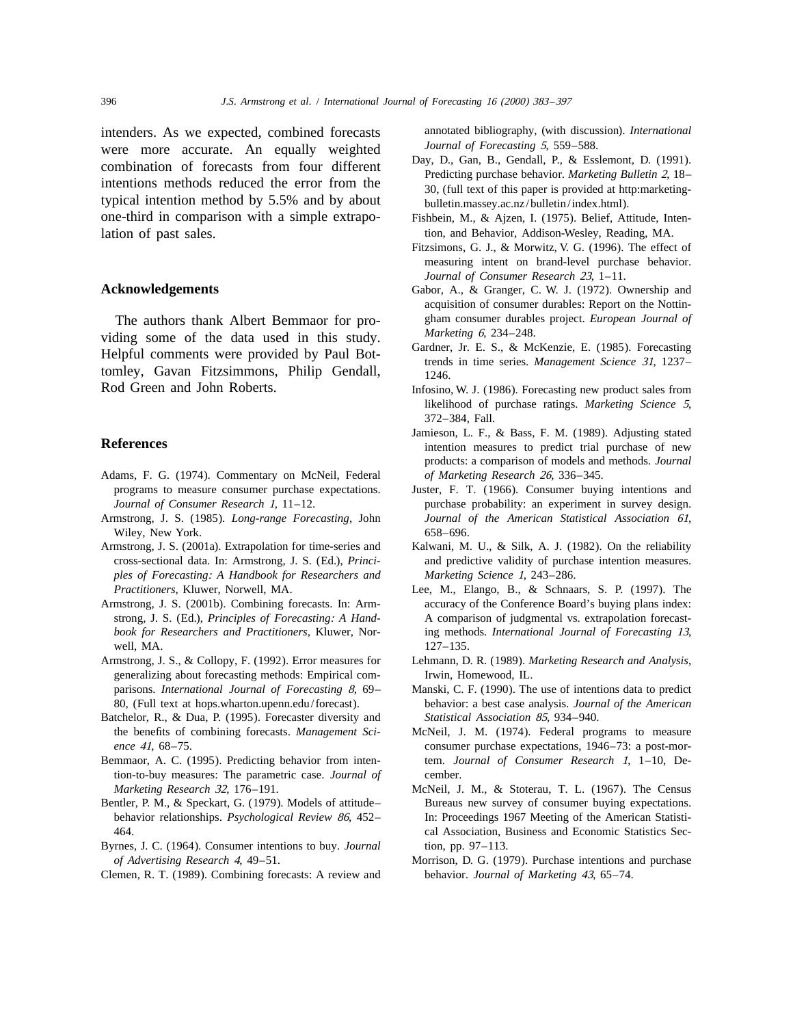intenders. As we expected, combined forecasts annotated bibliography, (with discussion). *International* were more accurate An equally weighted *Journal of Forecasting 5*, 559–588. were more accurate. An equally weighted *Journal of Forecasting* 5, 559–588.<br>examplication of forecasts from four different Day, D., Gan, B., Gendall, P., & Esslemont, D. (1991). combination of forecasts from four different<br>intentions methods reduced the error from the  $\frac{180}{30}$ , (full text of this paper is provided at http:marketing typical intention method by 5.5% and by about bulletin.massey.ac.nz/bulletin/index.html). one-third in comparison with a simple extrapo- Fishbein, M., & Ajzen, I. (1975). Belief, Attitude, Intenlation of past sales. tion, and Behavior, Addison-Wesley, Reading, MA.

viding some of the data used in this study.<br>
Helpful comments were provided by Paul Bottomley, Gavan Fitzsimmons, Philip Gendall, Rod Green and John Roberts.<br>
Rod Green and John Roberts.<br>
Infosino W. J. (1986). Forecasting

- Adams, F. G. (1974). Commentary on McNeil, Federal *of Marketing Research* <sup>26</sup>, 336–345. programs to measure consumer purchase expectations. Juster, F. T. (1966). Consumer buying intentions and
- Wiley, New York. 658–696.
- *ples of Forecasting*: *A Handbook for Researchers and Marketing Science* <sup>1</sup>, 243–286. *Practitioners*, Kluwer, Norwell, MA. Lee, M., Elango, B., & Schnaars, S. P. (1997). The
- well, MA. 127–135.
- generalizing about forecasting methods: Empirical com- Irwin, Homewood, IL. parisons. *International Journal of Forecasting* <sup>8</sup>, 69– Manski, C. F. (1990). The use of intentions data to predict
- Batchelor, R., & Dua, P. (1995). Forecaster diversity and *Statistical Association* <sup>85</sup>, 934–940.
- tion-to-buy measures: The parametric case. *Journal of* cember. *Marketing Research* 32, 176–191. Marketing *Research* 32, 176–191.
- 
- Byrnes, J. C. (1964). Consumer intentions to buy. *Journal* tion, pp. 97–113. *of Advertising Research* <sup>4</sup>, 49–51. Morrison, D. G. (1979). Purchase intentions and purchase
- Clemen, R. T. (1989). Combining forecasts: A review and behavior. *Journal of Marketing* <sup>43</sup>, 65–74.

- 
- 
- Fitzsimons, G. J., & Morwitz, V. G. (1996). The effect of measuring intent on brand-level purchase behavior. *Journal of Consumer Research* <sup>23</sup>, 1–11.
- Acknowledgements Gabor, A., & Granger, C. W. J. (1972). Ownership and acquisition of consumer durables: Report on the Nottin-The authors thank Albert Bemmaor for pro- gham consumer durables project. *European Journal of*
	-
	- Infosino, W. J. (1986). Forecasting new product sales from likelihood of purchase ratings. *Marketing Science* <sup>5</sup>, 372–384, Fall.
- Jamieson, L. F., & Bass, F. M. (1989). Adjusting stated **References** intention measures to predict trial purchase of new products: a comparison of models and methods. *Journal*
- *Journal of Consumer Research 1,* 11–12. purchase probability: an experiment in survey design. Armstrong, J. S. (1985). *Long*-*range Forecasting*, John *Journal of the American Statistical Association* <sup>61</sup>,
- Armstrong, J. S. (2001a). Extrapolation for time-series and Kalwani, M. U., & Silk, A. J. (1982). On the reliability cross-sectional data. In: Armstrong, J. S. (Ed.), *Princi*- and predictive validity of purchase intention measures.
- Armstrong, J. S. (2001b). Combining forecasts. In: Arm- accuracy of the Conference Board's buying plans index: strong, J. S. (Ed.), *Principles of Forecasting*: *A Hand*- A comparison of judgmental vs. extrapolation forecast*book for Researchers and Practitioners*, Kluwer, Nor- ing methods. *International Journal of Forecasting* <sup>13</sup>,
- Armstrong, J. S., & Collopy, F. (1992). Error measures for Lehmann, D. R. (1989). *Marketing Research and Analysis*,
	- 80, (Full text at hops.wharton.upenn.edu/forecast). behavior: a best case analysis. *Journal of the American*
- the benefits of combining forecasts. *Management Sci* McNeil, J. M. (1974). Federal programs to measure *ence* <sup>41</sup>, 68–75. consumer purchase expectations, 1946–73: a post-mor-Bemmaor, A. C. (1995). Predicting behavior from inten- tem. *Journal of Consumer Research* <sup>1</sup>, 1–10, De-
- Bentler, P. M., & Speckart, G. (1979). Models of attitude– Bureaus new survey of consumer buying expectations. behavior relationships. *Psychological Review* <sup>86</sup>, 452– In: Proceedings 1967 Meeting of the American Statisti-464. cal Association, Business and Economic Statistics Sec-
	-